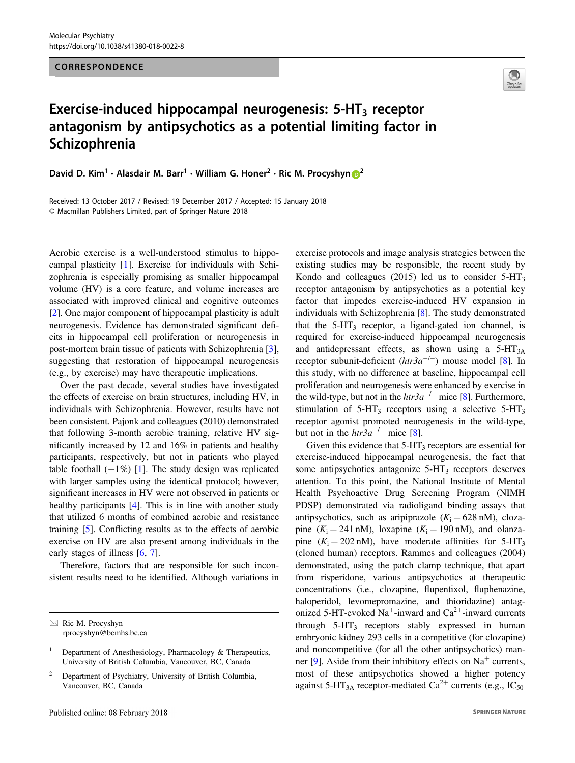## CORRESPONDENCE



## Exercise-induced hippocampal neurogenesis:  $5-HT<sub>3</sub>$  receptor antagonism by antipsychotics as a potential limiting factor in Schizophrenia

David D. Kim<sup>1</sup> · Alasdair M. Barr<sup>1</sup> · William G. Ho[n](http://orcid.org/0000-0002-4348-0855)er<sup>[2](http://orcid.org/0000-0002-4348-0855)</sup> · Ric M. Procyshyn  $\circledR^2$ 

Received: 13 October 2017 / Revised: 19 December 2017 / Accepted: 15 January 2018 © Macmillan Publishers Limited, part of Springer Nature 2018

Aerobic exercise is a well-understood stimulus to hippocampal plasticity [[1\]](#page-1-0). Exercise for individuals with Schizophrenia is especially promising as smaller hippocampal volume (HV) is a core feature, and volume increases are associated with improved clinical and cognitive outcomes [\[2](#page-1-0)]. One major component of hippocampal plasticity is adult neurogenesis. Evidence has demonstrated significant deficits in hippocampal cell proliferation or neurogenesis in post-mortem brain tissue of patients with Schizophrenia [\[3](#page-1-0)], suggesting that restoration of hippocampal neurogenesis (e.g., by exercise) may have therapeutic implications.

Over the past decade, several studies have investigated the effects of exercise on brain structures, including HV, in individuals with Schizophrenia. However, results have not been consistent. Pajonk and colleagues (2010) demonstrated that following 3-month aerobic training, relative HV significantly increased by 12 and 16% in patients and healthy participants, respectively, but not in patients who played table football  $(-1\%)$  [[1\]](#page-1-0). The study design was replicated with larger samples using the identical protocol; however, significant increases in HV were not observed in patients or healthy participants [[4\]](#page-1-0). This is in line with another study that utilized 6 months of combined aerobic and resistance training [\[5](#page-1-0)]. Conflicting results as to the effects of aerobic exercise on HV are also present among individuals in the early stages of illness [[6,](#page-1-0) [7](#page-1-0)].

Therefore, factors that are responsible for such inconsistent results need to be identified. Although variations in exercise protocols and image analysis strategies between the existing studies may be responsible, the recent study by Kondo and colleagues (2015) led us to consider  $5-\text{HT}_3$ receptor antagonism by antipsychotics as a potential key factor that impedes exercise-induced HV expansion in individuals with Schizophrenia [\[8](#page-1-0)]. The study demonstrated that the  $5-\text{HT}_3$  receptor, a ligand-gated ion channel, is required for exercise-induced hippocampal neurogenesis and antidepressant effects, as shown using a  $5-HT_{3A}$ receptor subunit-deficient  $(htr3a^{-/-})$  mouse model [[8\]](#page-1-0). In this study, with no difference at baseline, hippocampal cell proliferation and neurogenesis were enhanced by exercise in the wild-type, but not in the  $htr3a^{-/-}$  mice [\[8](#page-1-0)]. Furthermore, stimulation of  $5-HT_3$  receptors using a selective  $5-HT_3$ receptor agonist promoted neurogenesis in the wild-type, but not in the  $htr3a^{-/-}$  mice [[8\]](#page-1-0).

Given this evidence that  $5-\text{HT}_3$  receptors are essential for exercise-induced hippocampal neurogenesis, the fact that some antipsychotics antagonize  $5-\text{HT}_3$  receptors deserves attention. To this point, the National Institute of Mental Health Psychoactive Drug Screening Program (NIMH PDSP) demonstrated via radioligand binding assays that antipsychotics, such as aripiprazole  $(K<sub>i</sub> = 628 \text{ nM})$ , clozapine  $(K_i = 241 \text{ nM})$ , loxapine  $(K_i = 190 \text{ nM})$ , and olanzapine  $(K_i = 202 \text{ nM})$ , have moderate affinities for 5-HT<sub>3</sub> (cloned human) receptors. Rammes and colleagues (2004) demonstrated, using the patch clamp technique, that apart from risperidone, various antipsychotics at therapeutic concentrations (i.e., clozapine, flupentixol, fluphenazine, haloperidol, levomepromazine, and thioridazine) antagonized 5-HT-evoked  $Na^+$ -inward and  $Ca^{2+}$ -inward currents through  $5-HT_3$  receptors stably expressed in human embryonic kidney 293 cells in a competitive (for clozapine) and noncompetitive (for all the other antipsychotics) man-ner [[9\]](#page-1-0). Aside from their inhibitory effects on  $Na<sup>+</sup>$  currents, most of these antipsychotics showed a higher potency against 5-HT<sub>3A</sub> receptor-mediated Ca<sup>2+</sup> currents (e.g., IC<sub>50</sub>)

 $\boxtimes$  Ric M. Procyshyn [rprocyshyn@bcmhs.bc.ca](mailto:rprocyshyn@bcmhs.bc.ca)

<sup>1</sup> Department of Anesthesiology, Pharmacology & Therapeutics, University of British Columbia, Vancouver, BC, Canada

<sup>2</sup> Department of Psychiatry, University of British Columbia, Vancouver, BC, Canada